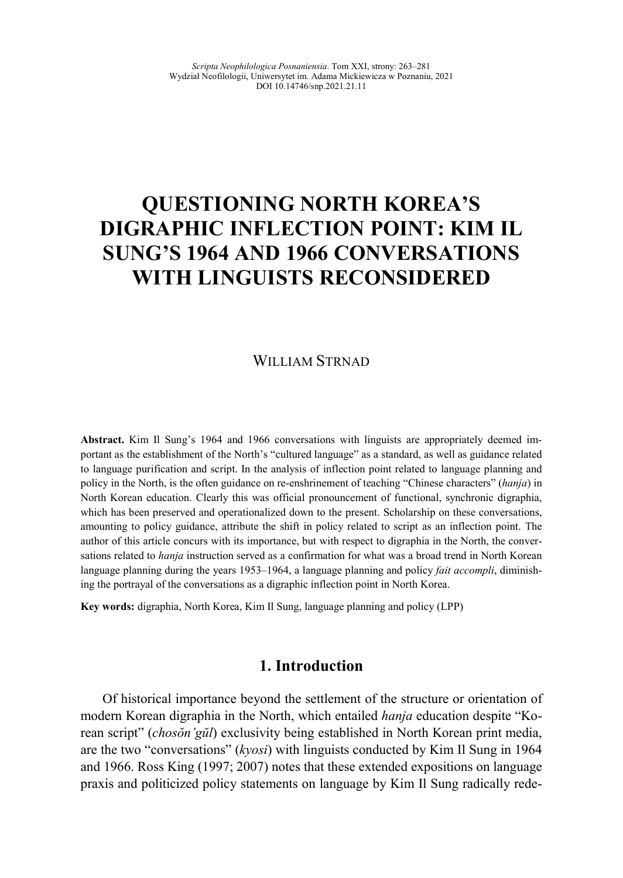# **QUESTIONING NORTH KOREA'S DIGRAPHIC INFLECTION POINT: KIM IL SUNG'S 1964 AND 1966 CONVERSATIONS WITH LINGUISTS RECONSIDERED**

## WILLIAM STRNAD

**Abstract.** Kim Il Sung's 1964 and 1966 conversations with linguists are appropriately deemed important as the establishment of the North's "cultured language" as a standard, as well as guidance related to language purification and script. In the analysis of inflection point related to language planning and policy in the North, is the often guidance on re-enshrinement of teaching "Chinese characters" (*hanja*) in North Korean education. Clearly this was official pronouncement of functional, synchronic digraphia, which has been preserved and operationalized down to the present. Scholarship on these conversations, amounting to policy guidance, attribute the shift in policy related to script as an inflection point. The author of this article concurs with its importance, but with respect to digraphia in the North, the conversations related to *hanja* instruction served as a confirmation for what was a broad trend in North Korean language planning during the years 1953–1964, a language planning and policy *fait accompli*, diminishing the portrayal of the conversations as a digraphic inflection point in North Korea.

**Key words:** digraphia, North Korea, Kim Il Sung, language planning and policy (LPP)

## **1. Introduction**

Of historical importance beyond the settlement of the structure or orientation of modern Korean digraphia in the North, which entailed *hanja* education despite "Korean script" (*chosŏn'gŭl*) exclusivity being established in North Korean print media, are the two "conversations" (*kyosi*) with linguists conducted by Kim Il Sung in 1964 and 1966. Ross King (1997; 2007) notes that these extended expositions on language praxis and politicized policy statements on language by Kim Il Sung radically rede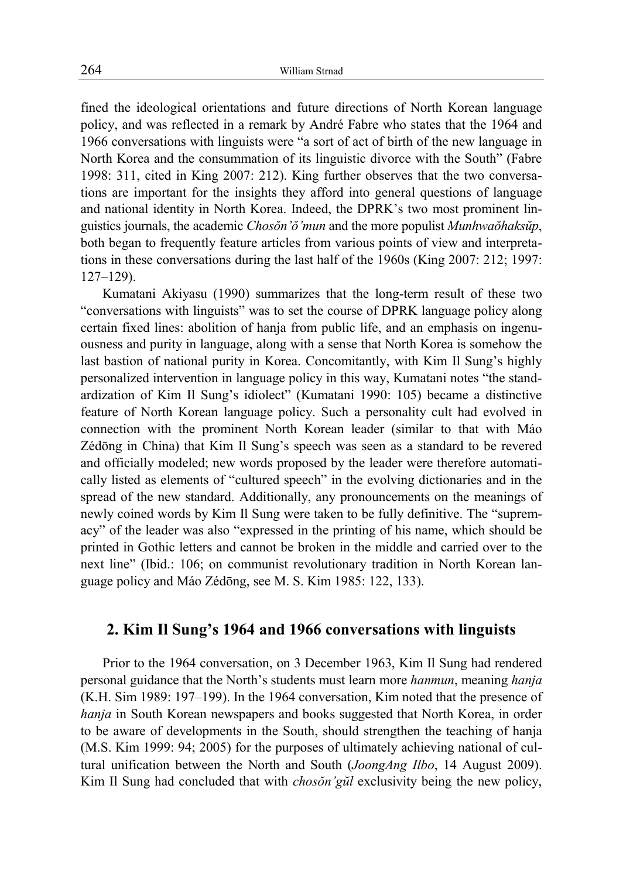fined the ideological orientations and future directions of North Korean language policy, and was reflected in a remark by André Fabre who states that the 1964 and 1966 conversations with linguists were "a sort of act of birth of the new language in North Korea and the consummation of its linguistic divorce with the South" (Fabre 1998: 311, cited in King 2007: 212). King further observes that the two conversations are important for the insights they afford into general questions of language and national identity in North Korea. Indeed, the DPRK's two most prominent linguistics journals, the academic *Chosŏn'ŏ'mun* and the more populist *Munhwaŏhaksŭp*, both began to frequently feature articles from various points of view and interpretations in these conversations during the last half of the 1960s (King 2007: 212; 1997: 127–129).

Kumatani Akiyasu (1990) summarizes that the long-term result of these two "conversations with linguists" was to set the course of DPRK language policy along certain fixed lines: abolition of hanja from public life, and an emphasis on ingenuousness and purity in language, along with a sense that North Korea is somehow the last bastion of national purity in Korea. Concomitantly, with Kim Il Sung's highly personalized intervention in language policy in this way, Kumatani notes "the standardization of Kim Il Sung's idiolect" (Kumatani 1990: 105) became a distinctive feature of North Korean language policy. Such a personality cult had evolved in connection with the prominent North Korean leader (similar to that with Máo Zédōng in China) that Kim Il Sung's speech was seen as a standard to be revered and officially modeled; new words proposed by the leader were therefore automatically listed as elements of "cultured speech" in the evolving dictionaries and in the spread of the new standard. Additionally, any pronouncements on the meanings of newly coined words by Kim Il Sung were taken to be fully definitive. The "supremacy" of the leader was also "expressed in the printing of his name, which should be printed in Gothic letters and cannot be broken in the middle and carried over to the next line" (Ibid.: 106; on communist revolutionary tradition in North Korean language policy and Máo Zédōng, see M. S. Kim 1985: 122, 133).

## **2. Kim Il Sung's 1964 and 1966 conversations with linguists**

Prior to the 1964 conversation, on 3 December 1963, Kim Il Sung had rendered personal guidance that the North's students must learn more *hanmun*, meaning *hanja* (K.H. Sim 1989: 197–199). In the 1964 conversation, Kim noted that the presence of *hanja* in South Korean newspapers and books suggested that North Korea, in order to be aware of developments in the South, should strengthen the teaching of hanja (M.S. Kim 1999: 94; 2005) for the purposes of ultimately achieving national of cultural unification between the North and South (*JoongAng Ilbo*, 14 August 2009). Kim Il Sung had concluded that with *chosŏn'gŭl* exclusivity being the new policy,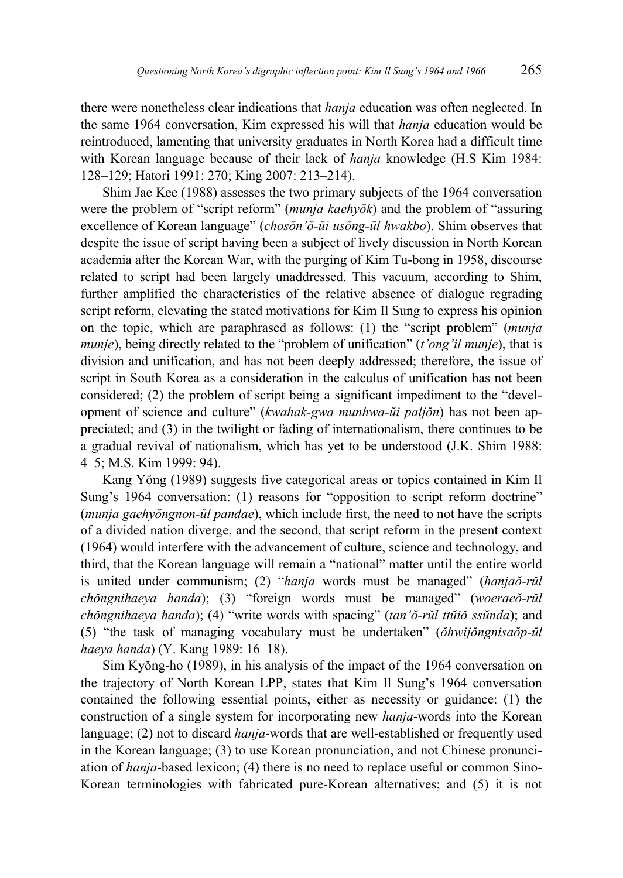there were nonetheless clear indications that *hanja* education was often neglected. In the same 1964 conversation, Kim expressed his will that *hanja* education would be reintroduced, lamenting that university graduates in North Korea had a difficult time with Korean language because of their lack of *hanja* knowledge (H.S Kim 1984: 128–129; Hatori 1991: 270; King 2007: 213–214).

Shim Jae Kee (1988) assesses the two primary subjects of the 1964 conversation were the problem of "script reform" (*munja kaehyŏk*) and the problem of "assuring excellence of Korean language" (*chosŏn'ŏ-ŭi usŏng-ŭl hwakbo*). Shim observes that despite the issue of script having been a subject of lively discussion in North Korean academia after the Korean War, with the purging of Kim Tu-bong in 1958, discourse related to script had been largely unaddressed. This vacuum, according to Shim, further amplified the characteristics of the relative absence of dialogue regrading script reform, elevating the stated motivations for Kim Il Sung to express his opinion on the topic, which are paraphrased as follows: (1) the "script problem" (*munja munje*), being directly related to the "problem of unification" (*t'ong'il munje*), that is division and unification, and has not been deeply addressed; therefore, the issue of script in South Korea as a consideration in the calculus of unification has not been considered; (2) the problem of script being a significant impediment to the "development of science and culture" (*kwahak-gwa munhwa-ŭi paljŏn*) has not been appreciated; and (3) in the twilight or fading of internationalism, there continues to be a gradual revival of nationalism, which has yet to be understood (J.K. Shim 1988: 4–5; M.S. Kim 1999: 94).

Kang Yŏng (1989) suggests five categorical areas or topics contained in Kim Il Sung's 1964 conversation: (1) reasons for "opposition to script reform doctrine" (*munja gaehyŏngnon-ŭl pandae*), which include first, the need to not have the scripts of a divided nation diverge, and the second, that script reform in the present context (1964) would interfere with the advancement of culture, science and technology, and third, that the Korean language will remain a "national" matter until the entire world is united under communism; (2) "*hanja* words must be managed" (*hanjaŏ-rŭl chŏngnihaeya handa*); (3) "foreign words must be managed" (*woeraeŏ-rŭl chŏngnihaeya handa*); (4) "write words with spacing" (*tan'ŏ-rŭl ttŭiŏ ssŭnda*); and (5) "the task of managing vocabulary must be undertaken" (*ŏhwijŏngnisaŏp-ŭl haeya handa*) (Y. Kang 1989: 16–18).

Sim Kyŏng-ho (1989), in his analysis of the impact of the 1964 conversation on the trajectory of North Korean LPP, states that Kim Il Sung's 1964 conversation contained the following essential points, either as necessity or guidance: (1) the construction of a single system for incorporating new *hanja*-words into the Korean language; (2) not to discard *hanja*-words that are well-established or frequently used in the Korean language; (3) to use Korean pronunciation, and not Chinese pronunciation of *hanja*-based lexicon; (4) there is no need to replace useful or common Sino-Korean terminologies with fabricated pure-Korean alternatives; and (5) it is not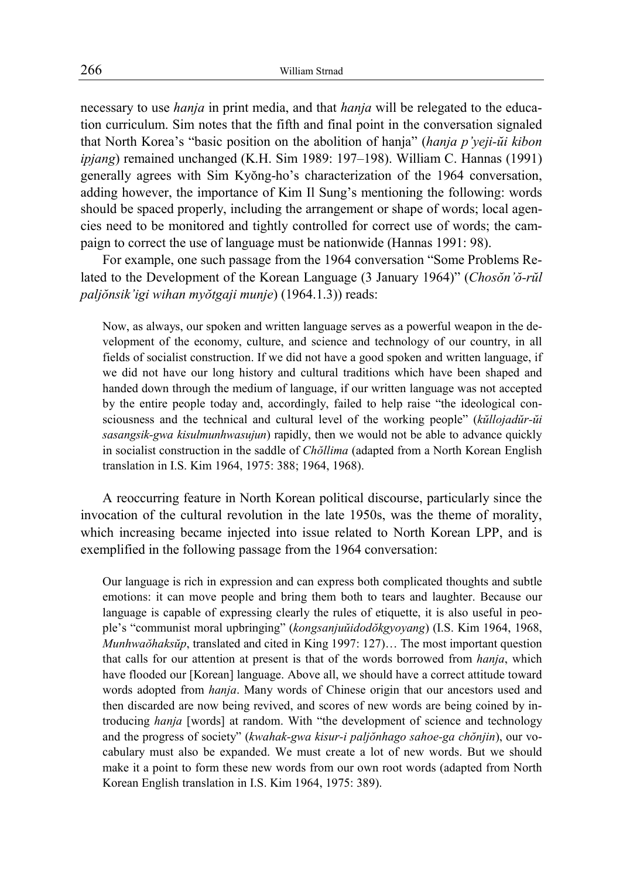necessary to use *hanja* in print media, and that *hanja* will be relegated to the education curriculum. Sim notes that the fifth and final point in the conversation signaled that North Korea's "basic position on the abolition of hanja" (*hanja p'yeji-ŭi kibon ipjang*) remained unchanged (K.H. Sim 1989: 197–198). William C. Hannas (1991) generally agrees with Sim Kyŏng-ho's characterization of the 1964 conversation, adding however, the importance of Kim Il Sung's mentioning the following: words should be spaced properly, including the arrangement or shape of words; local agencies need to be monitored and tightly controlled for correct use of words; the campaign to correct the use of language must be nationwide (Hannas 1991: 98).

For example, one such passage from the 1964 conversation "Some Problems Related to the Development of the Korean Language (3 January 1964)" (*Chosŏn'ŏ-rŭl paljŏnsik'igi wihan myŏtgaji munje*) (1964.1.3)) reads:

Now, as always, our spoken and written language serves as a powerful weapon in the development of the economy, culture, and science and technology of our country, in all fields of socialist construction. If we did not have a good spoken and written language, if we did not have our long history and cultural traditions which have been shaped and handed down through the medium of language, if our written language was not accepted by the entire people today and, accordingly, failed to help raise "the ideological consciousness and the technical and cultural level of the working people" (*kŭllojadŭr-ŭi sasangsik-gwa kisulmunhwasujun*) rapidly, then we would not be able to advance quickly in socialist construction in the saddle of *Chŏllima* (adapted from a North Korean English translation in I.S. Kim 1964, 1975: 388; 1964, 1968).

A reoccurring feature in North Korean political discourse, particularly since the invocation of the cultural revolution in the late 1950s, was the theme of morality, which increasing became injected into issue related to North Korean LPP, and is exemplified in the following passage from the 1964 conversation:

Our language is rich in expression and can express both complicated thoughts and subtle emotions: it can move people and bring them both to tears and laughter. Because our language is capable of expressing clearly the rules of etiquette, it is also useful in people's "communist moral upbringing" (*kongsanjuŭidodŏkgyoyang*) (I.S. Kim 1964, 1968, *Munhwaŏhaksŭp*, translated and cited in King 1997: 127)… The most important question that calls for our attention at present is that of the words borrowed from *hanja*, which have flooded our [Korean] language. Above all, we should have a correct attitude toward words adopted from *hanja*. Many words of Chinese origin that our ancestors used and then discarded are now being revived, and scores of new words are being coined by introducing *hanja* [words] at random. With "the development of science and technology and the progress of society" (*kwahak-gwa kisur-i paljŏnhago sahoe-ga chŏnjin*), our vocabulary must also be expanded. We must create a lot of new words. But we should make it a point to form these new words from our own root words (adapted from North Korean English translation in I.S. Kim 1964, 1975: 389).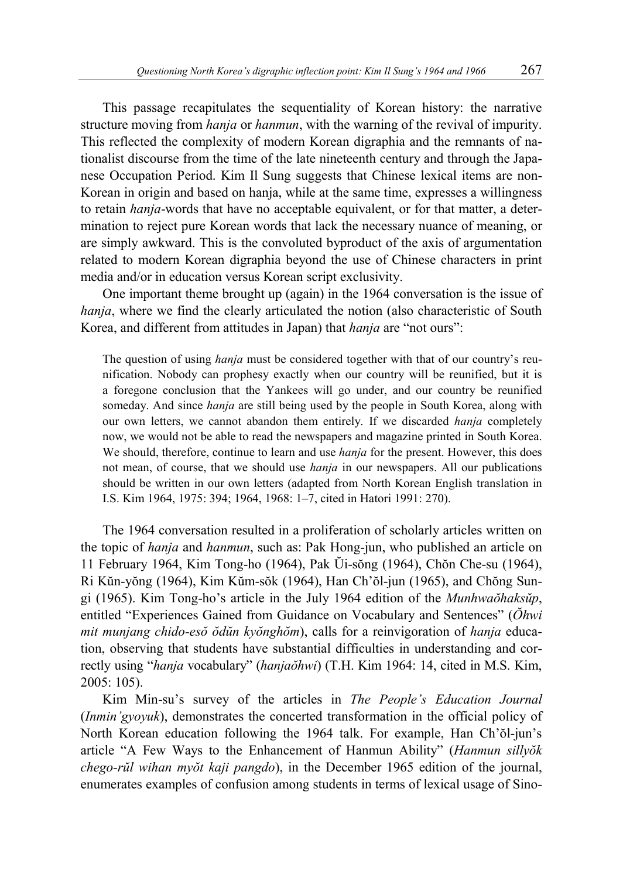This passage recapitulates the sequentiality of Korean history: the narrative structure moving from *hanja* or *hanmun*, with the warning of the revival of impurity. This reflected the complexity of modern Korean digraphia and the remnants of nationalist discourse from the time of the late nineteenth century and through the Japanese Occupation Period. Kim Il Sung suggests that Chinese lexical items are non-Korean in origin and based on hanja, while at the same time, expresses a willingness to retain *hanja*-words that have no acceptable equivalent, or for that matter, a determination to reject pure Korean words that lack the necessary nuance of meaning, or are simply awkward. This is the convoluted byproduct of the axis of argumentation related to modern Korean digraphia beyond the use of Chinese characters in print media and/or in education versus Korean script exclusivity.

One important theme brought up (again) in the 1964 conversation is the issue of *hanja*, where we find the clearly articulated the notion (also characteristic of South Korea, and different from attitudes in Japan) that *hanja* are "not ours":

The question of using *hanja* must be considered together with that of our country's reunification. Nobody can prophesy exactly when our country will be reunified, but it is a foregone conclusion that the Yankees will go under, and our country be reunified someday. And since *hanja* are still being used by the people in South Korea, along with our own letters, we cannot abandon them entirely. If we discarded *hanja* completely now, we would not be able to read the newspapers and magazine printed in South Korea. We should, therefore, continue to learn and use *hanja* for the present. However, this does not mean, of course, that we should use *hanja* in our newspapers. All our publications should be written in our own letters (adapted from North Korean English translation in I.S. Kim 1964, 1975: 394; 1964, 1968: 1–7, cited in Hatori 1991: 270).

The 1964 conversation resulted in a proliferation of scholarly articles written on the topic of *hanja* and *hanmun*, such as: Pak Hong-jun, who published an article on 11 February 1964, Kim Tong-ho (1964), Pak Ŭi-sŏng (1964), Chŏn Che-su (1964), Ri Kŭn-yŏng (1964), Kim Kŭm-sŏk (1964), Han Ch'ŏl-jun (1965), and Chŏng Sungi (1965). Kim Tong-ho's article in the July 1964 edition of the *Munhwaŏhaksŭp*, entitled "Experiences Gained from Guidance on Vocabulary and Sentences" (*Ŏhwi mit munjang chido-esŏ ŏdŭn kyŏnghŏm*), calls for a reinvigoration of *hanja* education, observing that students have substantial difficulties in understanding and correctly using "*hanja* vocabulary" (*hanjaŏhwi*) (T.H. Kim 1964: 14, cited in M.S. Kim, 2005: 105).

Kim Min-su's survey of the articles in *The People's Education Journal* (*Inmin'gyoyuk*), demonstrates the concerted transformation in the official policy of North Korean education following the 1964 talk. For example, Han Ch'ŏl-jun's article "A Few Ways to the Enhancement of Hanmun Ability" (*Hanmun sillyŏk chego-rŭl wihan myŏt kaji pangdo*), in the December 1965 edition of the journal, enumerates examples of confusion among students in terms of lexical usage of Sino-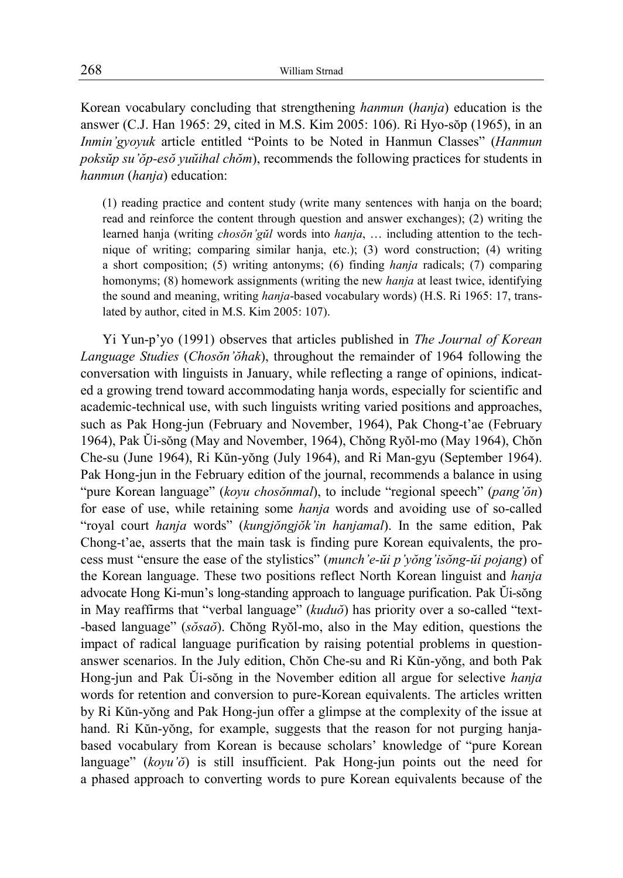Korean vocabulary concluding that strengthening *hanmun* (*hanja*) education is the answer (C.J. Han 1965: 29, cited in M.S. Kim 2005: 106). Ri Hyo-sŏp (1965), in an *Inmin'gyoyuk* article entitled "Points to be Noted in Hanmun Classes" (*Hanmun poksŭp su'ŏp-esŏ yuŭihal chŏm*), recommends the following practices for students in *hanmun* (*hanja*) education:

(1) reading practice and content study (write many sentences with hanja on the board; read and reinforce the content through question and answer exchanges); (2) writing the learned hanja (writing *chosŏn'gŭl* words into *hanja*, … including attention to the technique of writing; comparing similar hanja, etc.); (3) word construction; (4) writing a short composition; (5) writing antonyms; (6) finding *hanja* radicals; (7) comparing homonyms; (8) homework assignments (writing the new *hanja* at least twice, identifying the sound and meaning, writing *hanja*-based vocabulary words) (H.S. Ri 1965: 17, translated by author, cited in M.S. Kim 2005: 107).

Yi Yun-p'yo (1991) observes that articles published in *The Journal of Korean Language Studies* (*Chosŏn'ŏhak*), throughout the remainder of 1964 following the conversation with linguists in January, while reflecting a range of opinions, indicated a growing trend toward accommodating hanja words, especially for scientific and academic-technical use, with such linguists writing varied positions and approaches, such as Pak Hong-jun (February and November, 1964), Pak Chong-t'ae (February 1964), Pak Ŭi-sŏng (May and November, 1964), Chŏng Ryŏl-mo (May 1964), Chŏn Che-su (June 1964), Ri Kŭn-yŏng (July 1964), and Ri Man-gyu (September 1964). Pak Hong-jun in the February edition of the journal, recommends a balance in using "pure Korean language" (*koyu chosŏnmal*), to include "regional speech" (*pang'ŏn*) for ease of use, while retaining some *hanja* words and avoiding use of so-called "royal court *hanja* words" (*kungjŏngjŏk'in hanjamal*). In the same edition, Pak Chong-t'ae, asserts that the main task is finding pure Korean equivalents, the process must "ensure the ease of the stylistics" (*munch'e-ŭi p'yŏng'isŏng-ŭi pojang*) of the Korean language. These two positions reflect North Korean linguist and *hanja*  advocate Hong Ki-mun's long-standing approach to language purification. Pak Ŭi-sŏng in May reaffirms that "verbal language" (*kuduŏ*) has priority over a so-called "text- -based language" (*sŏsaŏ*). Chŏng Ryŏl-mo, also in the May edition, questions the impact of radical language purification by raising potential problems in questionanswer scenarios. In the July edition, Chŏn Che-su and Ri Kŭn-yŏng, and both Pak Hong-jun and Pak Ŭi-sŏng in the November edition all argue for selective *hanja* words for retention and conversion to pure-Korean equivalents. The articles written by Ri Kŭn-yŏng and Pak Hong-jun offer a glimpse at the complexity of the issue at hand. Ri Kŭn-yŏng, for example, suggests that the reason for not purging hanjabased vocabulary from Korean is because scholars' knowledge of "pure Korean language" (*koyu'ŏ*) is still insufficient. Pak Hong-jun points out the need for a phased approach to converting words to pure Korean equivalents because of the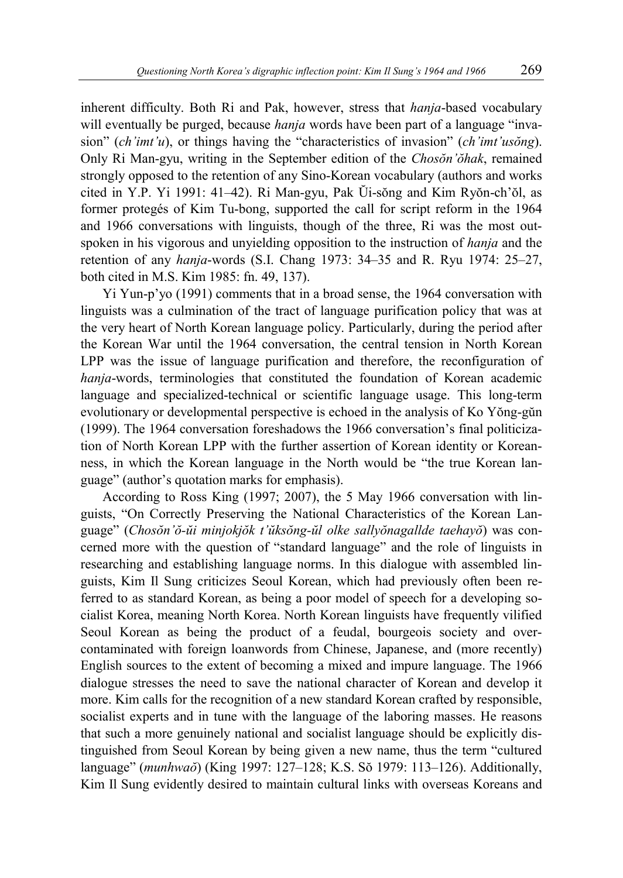inherent difficulty. Both Ri and Pak, however, stress that *hanja*-based vocabulary will eventually be purged, because *hanja* words have been part of a language "invasion" (*ch'imt'u*), or things having the "characteristics of invasion" (*ch'imt'usŏng*). Only Ri Man-gyu, writing in the September edition of the *Chosŏn'ŏhak*, remained strongly opposed to the retention of any Sino-Korean vocabulary (authors and works cited in Y.P. Yi 1991: 41–42). Ri Man-gyu, Pak Ŭi-sŏng and Kim Ryŏn-ch'ŏl, as former protegés of Kim Tu-bong, supported the call for script reform in the 1964 and 1966 conversations with linguists, though of the three, Ri was the most outspoken in his vigorous and unyielding opposition to the instruction of *hanja* and the retention of any *hanja*-words (S.I. Chang 1973: 34–35 and R. Ryu 1974: 25–27, both cited in M.S. Kim 1985: fn. 49, 137).

Yi Yun-p'yo (1991) comments that in a broad sense, the 1964 conversation with linguists was a culmination of the tract of language purification policy that was at the very heart of North Korean language policy. Particularly, during the period after the Korean War until the 1964 conversation, the central tension in North Korean LPP was the issue of language purification and therefore, the reconfiguration of *hanja*-words, terminologies that constituted the foundation of Korean academic language and specialized-technical or scientific language usage. This long-term evolutionary or developmental perspective is echoed in the analysis of Ko Yŏng-gŭn (1999). The 1964 conversation foreshadows the 1966 conversation's final politicization of North Korean LPP with the further assertion of Korean identity or Koreanness, in which the Korean language in the North would be "the true Korean language" (author's quotation marks for emphasis).

According to Ross King (1997; 2007), the 5 May 1966 conversation with linguists, "On Correctly Preserving the National Characteristics of the Korean Language" (*Chosŏn'ŏ-ŭi minjokjŏk t'ŭksŏng-ŭl olke sallyŏnagallde taehayŏ*) was concerned more with the question of "standard language" and the role of linguists in researching and establishing language norms. In this dialogue with assembled linguists, Kim Il Sung criticizes Seoul Korean, which had previously often been referred to as standard Korean, as being a poor model of speech for a developing socialist Korea, meaning North Korea. North Korean linguists have frequently vilified Seoul Korean as being the product of a feudal, bourgeois society and overcontaminated with foreign loanwords from Chinese, Japanese, and (more recently) English sources to the extent of becoming a mixed and impure language. The 1966 dialogue stresses the need to save the national character of Korean and develop it more. Kim calls for the recognition of a new standard Korean crafted by responsible, socialist experts and in tune with the language of the laboring masses. He reasons that such a more genuinely national and socialist language should be explicitly distinguished from Seoul Korean by being given a new name, thus the term "cultured language" (*munhwaŏ*) (King 1997: 127–128; K.S. Sŏ 1979: 113–126). Additionally, Kim Il Sung evidently desired to maintain cultural links with overseas Koreans and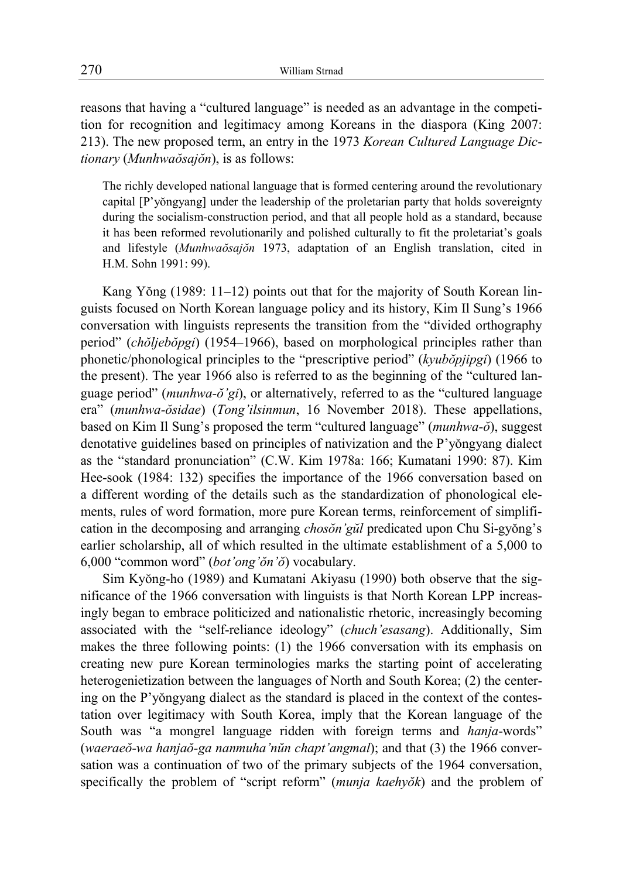reasons that having a "cultured language" is needed as an advantage in the competition for recognition and legitimacy among Koreans in the diaspora (King 2007: 213). The new proposed term, an entry in the 1973 *Korean Cultured Language Dictionary* (*Munhwaŏsajŏn*), is as follows:

The richly developed national language that is formed centering around the revolutionary capital [P'yŏngyang] under the leadership of the proletarian party that holds sovereignty during the socialism-construction period, and that all people hold as a standard, because it has been reformed revolutionarily and polished culturally to fit the proletariat's goals and lifestyle (*Munhwaŏsajŏn* 1973, adaptation of an English translation, cited in H.M. Sohn 1991: 99).

Kang Yŏng (1989: 11–12) points out that for the majority of South Korean linguists focused on North Korean language policy and its history, Kim Il Sung's 1966 conversation with linguists represents the transition from the "divided orthography period" (*chŏljebŏpgi*) (1954–1966), based on morphological principles rather than phonetic/phonological principles to the "prescriptive period" (*kyubŏpjipgi*) (1966 to the present). The year 1966 also is referred to as the beginning of the "cultured language period" (*munhwa-ŏ'gi*), or alternatively, referred to as the "cultured language era" (*munhwa-ŏsidae*) (*Tong'ilsinmun*, 16 November 2018). These appellations, based on Kim Il Sung's proposed the term "cultured language" (*munhwa-ŏ*), suggest denotative guidelines based on principles of nativization and the P'yŏngyang dialect as the "standard pronunciation" (C.W. Kim 1978a: 166; Kumatani 1990: 87). Kim Hee-sook (1984: 132) specifies the importance of the 1966 conversation based on a different wording of the details such as the standardization of phonological elements, rules of word formation, more pure Korean terms, reinforcement of simplification in the decomposing and arranging *chosŏn'gŭl* predicated upon Chu Si-gyŏng's earlier scholarship, all of which resulted in the ultimate establishment of a 5,000 to 6,000 "common word" (*bot'ong'ŏn'ŏ*) vocabulary.

Sim Kyŏng-ho (1989) and Kumatani Akiyasu (1990) both observe that the significance of the 1966 conversation with linguists is that North Korean LPP increasingly began to embrace politicized and nationalistic rhetoric, increasingly becoming associated with the "self-reliance ideology" (*chuch'esasang*). Additionally, Sim makes the three following points: (1) the 1966 conversation with its emphasis on creating new pure Korean terminologies marks the starting point of accelerating heterogenietization between the languages of North and South Korea; (2) the centering on the P'yŏngyang dialect as the standard is placed in the context of the contestation over legitimacy with South Korea, imply that the Korean language of the South was "a mongrel language ridden with foreign terms and *hanja*-words" (*waeraeŏ-wa hanjaŏ-ga nanmuha'nŭn chapt'angmal*); and that (3) the 1966 conversation was a continuation of two of the primary subjects of the 1964 conversation, specifically the problem of "script reform" (*munja kaehyŏk*) and the problem of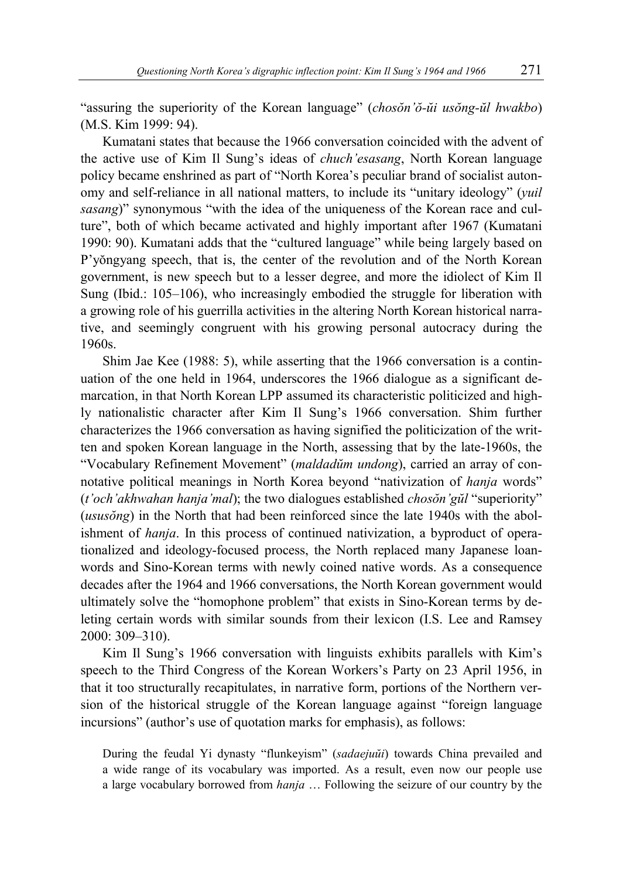"assuring the superiority of the Korean language" (*chosŏn'ŏ-ŭi usŏng-ŭl hwakbo*) (M.S. Kim 1999: 94).

Kumatani states that because the 1966 conversation coincided with the advent of the active use of Kim Il Sung's ideas of *chuch'esasang*, North Korean language policy became enshrined as part of "North Korea's peculiar brand of socialist autonomy and self-reliance in all national matters, to include its "unitary ideology" (*yuil sasang*)" synonymous "with the idea of the uniqueness of the Korean race and culture", both of which became activated and highly important after 1967 (Kumatani 1990: 90). Kumatani adds that the "cultured language" while being largely based on P'yŏngyang speech, that is, the center of the revolution and of the North Korean government, is new speech but to a lesser degree, and more the idiolect of Kim Il Sung (Ibid.: 105–106), who increasingly embodied the struggle for liberation with a growing role of his guerrilla activities in the altering North Korean historical narrative, and seemingly congruent with his growing personal autocracy during the 1960s.

Shim Jae Kee (1988: 5), while asserting that the 1966 conversation is a continuation of the one held in 1964, underscores the 1966 dialogue as a significant demarcation, in that North Korean LPP assumed its characteristic politicized and highly nationalistic character after Kim Il Sung's 1966 conversation. Shim further characterizes the 1966 conversation as having signified the politicization of the written and spoken Korean language in the North, assessing that by the late-1960s, the "Vocabulary Refinement Movement" (*maldadŭm undong*), carried an array of connotative political meanings in North Korea beyond "nativization of *hanja* words" (*t'och'akhwahan hanja'mal*); the two dialogues established *chosŏn'gŭl* "superiority" (*ususŏng*) in the North that had been reinforced since the late 1940s with the abolishment of *hanja*. In this process of continued nativization, a byproduct of operationalized and ideology-focused process, the North replaced many Japanese loanwords and Sino-Korean terms with newly coined native words. As a consequence decades after the 1964 and 1966 conversations, the North Korean government would ultimately solve the "homophone problem" that exists in Sino-Korean terms by deleting certain words with similar sounds from their lexicon (I.S. Lee and Ramsey 2000: 309–310).

Kim Il Sung's 1966 conversation with linguists exhibits parallels with Kim's speech to the Third Congress of the Korean Workers's Party on 23 April 1956, in that it too structurally recapitulates, in narrative form, portions of the Northern version of the historical struggle of the Korean language against "foreign language incursions" (author's use of quotation marks for emphasis), as follows:

During the feudal Yi dynasty "flunkeyism" (*sadaejuŭi*) towards China prevailed and a wide range of its vocabulary was imported. As a result, even now our people use a large vocabulary borrowed from *hanja* … Following the seizure of our country by the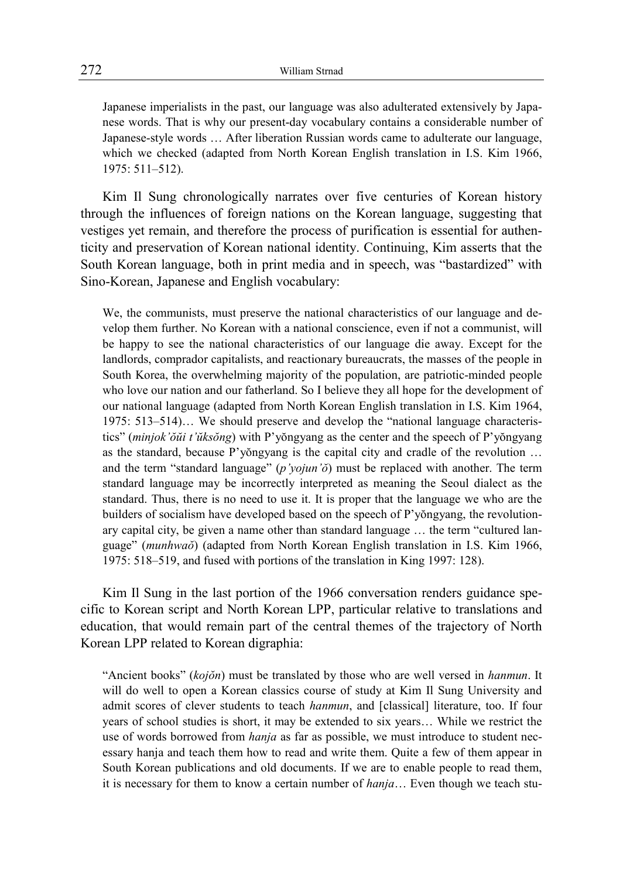Japanese imperialists in the past, our language was also adulterated extensively by Japanese words. That is why our present-day vocabulary contains a considerable number of Japanese-style words … After liberation Russian words came to adulterate our language, which we checked (adapted from North Korean English translation in I.S. Kim 1966, 1975: 511–512).

Kim Il Sung chronologically narrates over five centuries of Korean history through the influences of foreign nations on the Korean language, suggesting that vestiges yet remain, and therefore the process of purification is essential for authenticity and preservation of Korean national identity. Continuing, Kim asserts that the South Korean language, both in print media and in speech, was "bastardized" with Sino-Korean, Japanese and English vocabulary:

We, the communists, must preserve the national characteristics of our language and develop them further. No Korean with a national conscience, even if not a communist, will be happy to see the national characteristics of our language die away. Except for the landlords, comprador capitalists, and reactionary bureaucrats, the masses of the people in South Korea, the overwhelming majority of the population, are patriotic-minded people who love our nation and our fatherland. So I believe they all hope for the development of our national language (adapted from North Korean English translation in I.S. Kim 1964, 1975: 513–514)… We should preserve and develop the "national language characteristics" (*minjok'ŏŭi t'ŭksŏng*) with P'yŏngyang as the center and the speech of P'yŏngyang as the standard, because P'yŏngyang is the capital city and cradle of the revolution … and the term "standard language" (*p'yojun'ŏ*) must be replaced with another. The term standard language may be incorrectly interpreted as meaning the Seoul dialect as the standard. Thus, there is no need to use it. It is proper that the language we who are the builders of socialism have developed based on the speech of P'yŏngyang, the revolutionary capital city, be given a name other than standard language … the term "cultured language" (*munhwaŏ*) (adapted from North Korean English translation in I.S. Kim 1966, 1975: 518–519, and fused with portions of the translation in King 1997: 128).

Kim Il Sung in the last portion of the 1966 conversation renders guidance specific to Korean script and North Korean LPP, particular relative to translations and education, that would remain part of the central themes of the trajectory of North Korean LPP related to Korean digraphia:

"Ancient books" (*kojŏn*) must be translated by those who are well versed in *hanmun*. It will do well to open a Korean classics course of study at Kim Il Sung University and admit scores of clever students to teach *hanmun*, and [classical] literature, too. If four years of school studies is short, it may be extended to six years… While we restrict the use of words borrowed from *hanja* as far as possible, we must introduce to student necessary hanja and teach them how to read and write them. Quite a few of them appear in South Korean publications and old documents. If we are to enable people to read them, it is necessary for them to know a certain number of *hanja*… Even though we teach stu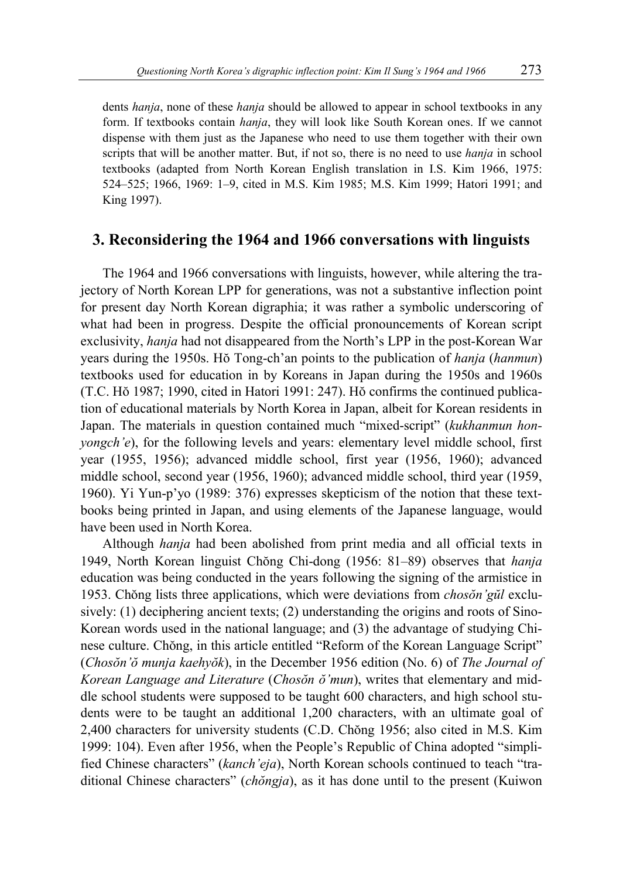dents *hanja*, none of these *hanja* should be allowed to appear in school textbooks in any form. If textbooks contain *hanja*, they will look like South Korean ones. If we cannot dispense with them just as the Japanese who need to use them together with their own scripts that will be another matter. But, if not so, there is no need to use *hanja* in school textbooks (adapted from North Korean English translation in I.S. Kim 1966, 1975: 524–525; 1966, 1969: 1–9, cited in M.S. Kim 1985; M.S. Kim 1999; Hatori 1991; and King 1997).

#### **3. Reconsidering the 1964 and 1966 conversations with linguists**

The 1964 and 1966 conversations with linguists, however, while altering the trajectory of North Korean LPP for generations, was not a substantive inflection point for present day North Korean digraphia; it was rather a symbolic underscoring of what had been in progress. Despite the official pronouncements of Korean script exclusivity, *hanja* had not disappeared from the North's LPP in the post-Korean War years during the 1950s. Hŏ Tong-ch'an points to the publication of *hanja* (*hanmun*) textbooks used for education in by Koreans in Japan during the 1950s and 1960s (T.C. Hŏ 1987; 1990, cited in Hatori 1991: 247). Hŏ confirms the continued publication of educational materials by North Korea in Japan, albeit for Korean residents in Japan. The materials in question contained much "mixed-script" (*kukhanmun honyongch'e*), for the following levels and years: elementary level middle school, first year (1955, 1956); advanced middle school, first year (1956, 1960); advanced middle school, second year (1956, 1960); advanced middle school, third year (1959, 1960). Yi Yun-p'yo (1989: 376) expresses skepticism of the notion that these textbooks being printed in Japan, and using elements of the Japanese language, would have been used in North Korea.

Although *hanja* had been abolished from print media and all official texts in 1949, North Korean linguist Chŏng Chi-dong (1956: 81–89) observes that *hanja*  education was being conducted in the years following the signing of the armistice in 1953. Chŏng lists three applications, which were deviations from *chosŏn'gŭl* exclusively: (1) deciphering ancient texts; (2) understanding the origins and roots of Sino-Korean words used in the national language; and (3) the advantage of studying Chinese culture. Chŏng, in this article entitled "Reform of the Korean Language Script" (*Chosŏn'ŏ munja kaehyŏk*), in the December 1956 edition (No. 6) of *The Journal of Korean Language and Literature* (*Chosŏn ŏ'mun*), writes that elementary and middle school students were supposed to be taught 600 characters, and high school students were to be taught an additional 1,200 characters, with an ultimate goal of 2,400 characters for university students (C.D. Chŏng 1956; also cited in M.S. Kim 1999: 104). Even after 1956, when the People's Republic of China adopted "simplified Chinese characters" (*kanch'eja*), North Korean schools continued to teach "traditional Chinese characters" (*chŏngja*), as it has done until to the present (Kuiwon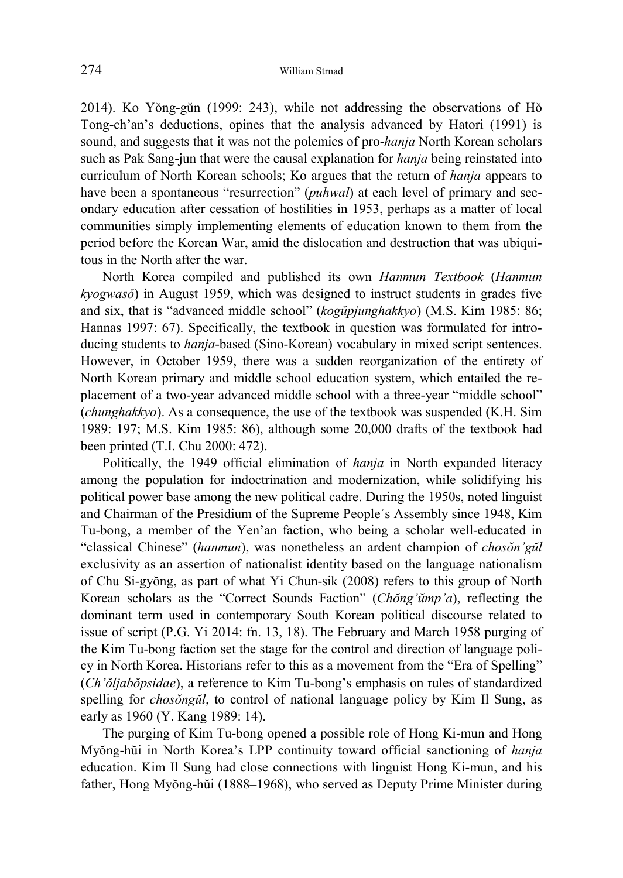2014). Ko Yŏng-gŭn (1999: 243), while not addressing the observations of Hŏ Tong-ch'an's deductions, opines that the analysis advanced by Hatori (1991) is sound, and suggests that it was not the polemics of pro-*hanja* North Korean scholars such as Pak Sang-jun that were the causal explanation for *hanja* being reinstated into curriculum of North Korean schools; Ko argues that the return of *hanja* appears to have been a spontaneous "resurrection" (*puhwal*) at each level of primary and secondary education after cessation of hostilities in 1953, perhaps as a matter of local communities simply implementing elements of education known to them from the period before the Korean War, amid the dislocation and destruction that was ubiquitous in the North after the war.

North Korea compiled and published its own *Hanmun Textbook* (*Hanmun kyogwasŏ*) in August 1959, which was designed to instruct students in grades five and six, that is "advanced middle school" (*kogŭpjunghakkyo*) (M.S. Kim 1985: 86; Hannas 1997: 67). Specifically, the textbook in question was formulated for introducing students to *hanja*-based (Sino-Korean) vocabulary in mixed script sentences. However, in October 1959, there was a sudden reorganization of the entirety of North Korean primary and middle school education system, which entailed the replacement of a two-year advanced middle school with a three-year "middle school" (*chunghakkyo*). As a consequence, the use of the textbook was suspended (K.H. Sim 1989: 197; M.S. Kim 1985: 86), although some 20,000 drafts of the textbook had been printed (T.I. Chu 2000: 472).

Politically, the 1949 official elimination of *hanja* in North expanded literacy among the population for indoctrination and modernization, while solidifying his political power base among the new political cadre. During the 1950s, noted linguist and Chairman of the Presidium of the Supreme Peopleʾs Assembly since 1948, Kim Tu-bong, a member of the Yen'an faction, who being a scholar well-educated in "classical Chinese" (*hanmun*), was nonetheless an ardent champion of *chosŏn'gŭl* exclusivity as an assertion of nationalist identity based on the language nationalism of Chu Si-gyŏng, as part of what Yi Chun-sik (2008) refers to this group of North Korean scholars as the "Correct Sounds Faction" (*Chŏng'ŭmp'a*), reflecting the dominant term used in contemporary South Korean political discourse related to issue of script (P.G. Yi 2014: fn. 13, 18). The February and March 1958 purging of the Kim Tu-bong faction set the stage for the control and direction of language policy in North Korea. Historians refer to this as a movement from the "Era of Spelling" (*Ch'ŏljabŏpsidae*), a reference to Kim Tu-bong's emphasis on rules of standardized spelling for *chosŏngŭl*, to control of national language policy by Kim Il Sung, as early as 1960 (Y. Kang 1989: 14).

The purging of Kim Tu-bong opened a possible role of Hong Ki-mun and Hong Myŏng-hŭi in North Korea's LPP continuity toward official sanctioning of *hanja* education. Kim Il Sung had close connections with linguist Hong Ki-mun, and his father, Hong Myŏng-hŭi (1888–1968), who served as Deputy Prime Minister during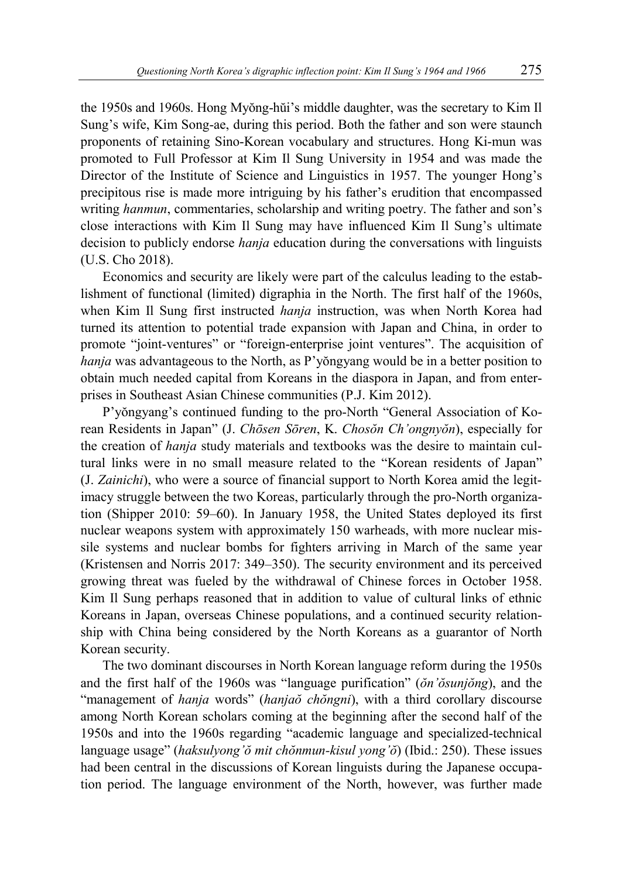the 1950s and 1960s. Hong Myŏng-hŭi's middle daughter, was the secretary to Kim Il Sung's wife, Kim Song-ae, during this period. Both the father and son were staunch proponents of retaining Sino-Korean vocabulary and structures. Hong Ki-mun was promoted to Full Professor at Kim Il Sung University in 1954 and was made the Director of the Institute of Science and Linguistics in 1957. The younger Hong's precipitous rise is made more intriguing by his father's erudition that encompassed writing *hanmun*, commentaries, scholarship and writing poetry. The father and son's close interactions with Kim Il Sung may have influenced Kim Il Sung's ultimate decision to publicly endorse *hanja* education during the conversations with linguists (U.S. Cho 2018).

Economics and security are likely were part of the calculus leading to the establishment of functional (limited) digraphia in the North. The first half of the 1960s, when Kim Il Sung first instructed *hanja* instruction, was when North Korea had turned its attention to potential trade expansion with Japan and China, in order to promote "joint-ventures" or "foreign-enterprise joint ventures". The acquisition of *hanja* was advantageous to the North, as P'yŏngyang would be in a better position to obtain much needed capital from Koreans in the diaspora in Japan, and from enterprises in Southeast Asian Chinese communities (P.J. Kim 2012).

P'yŏngyang's continued funding to the pro-North "General Association of Korean Residents in Japan" (J. *Chōsen Sōren*, K. *Chosŏn Ch'ongnyŏn*), especially for the creation of *hanja* study materials and textbooks was the desire to maintain cultural links were in no small measure related to the "Korean residents of Japan" (J. *Zainichi*), who were a source of financial support to North Korea amid the legitimacy struggle between the two Koreas, particularly through the pro-North organization (Shipper 2010: 59–60). In January 1958, the United States deployed its first nuclear weapons system with approximately 150 warheads, with more nuclear missile systems and nuclear bombs for fighters arriving in March of the same year (Kristensen and Norris 2017: 349–350). The security environment and its perceived growing threat was fueled by the withdrawal of Chinese forces in October 1958. Kim Il Sung perhaps reasoned that in addition to value of cultural links of ethnic Koreans in Japan, overseas Chinese populations, and a continued security relationship with China being considered by the North Koreans as a guarantor of North Korean security.

The two dominant discourses in North Korean language reform during the 1950s and the first half of the 1960s was "language purification" (*ŏn'ŏsunjŏng*), and the "management of *hanja* words" (*hanjaŏ chŏngni*), with a third corollary discourse among North Korean scholars coming at the beginning after the second half of the 1950s and into the 1960s regarding "academic language and specialized-technical language usage" (*haksulyong'ŏ mit chŏnmun-kisul yong'ŏ*) (Ibid.: 250). These issues had been central in the discussions of Korean linguists during the Japanese occupation period. The language environment of the North, however, was further made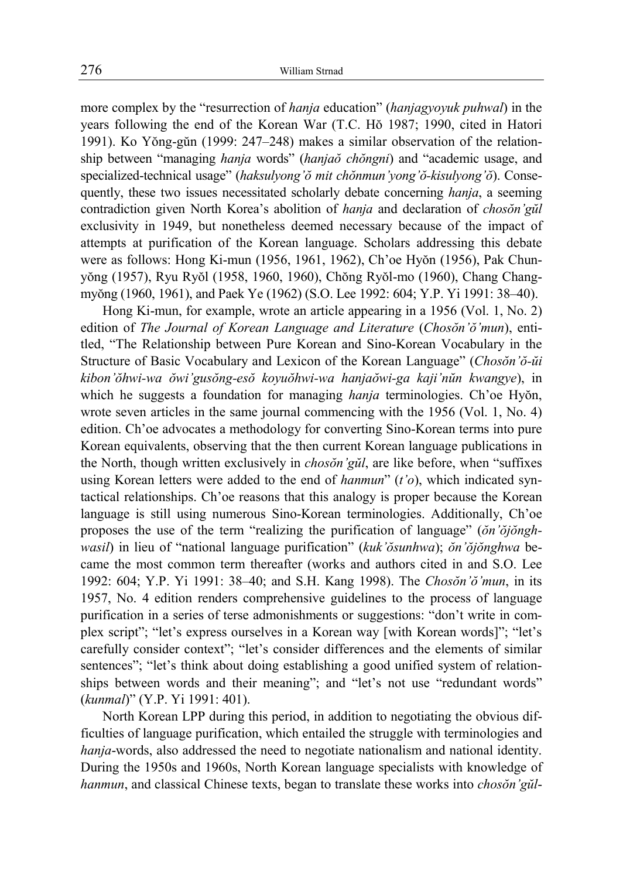more complex by the "resurrection of *hanja* education" (*hanjagyoyuk puhwal*) in the years following the end of the Korean War (T.C. Hŏ 1987; 1990, cited in Hatori 1991). Ko Yŏng-gŭn (1999: 247–248) makes a similar observation of the relationship between "managing *hanja* words" (*hanjaŏ chŏngni*) and "academic usage, and specialized-technical usage" (*haksulyong'ŏ mit chŏnmun'yong'ŏ-kisulyong'ŏ*). Consequently, these two issues necessitated scholarly debate concerning *hanja*, a seeming contradiction given North Korea's abolition of *hanja* and declaration of *chosŏn'gŭl* exclusivity in 1949, but nonetheless deemed necessary because of the impact of attempts at purification of the Korean language. Scholars addressing this debate were as follows: Hong Ki-mun (1956, 1961, 1962), Ch'oe Hyŏn (1956), Pak Chunyŏng (1957), Ryu Ryŏl (1958, 1960, 1960), Chŏng Ryŏl-mo (1960), Chang Changmyŏng (1960, 1961), and Paek Ye (1962) (S.O. Lee 1992: 604; Y.P. Yi 1991: 38–40).

Hong Ki-mun, for example, wrote an article appearing in a 1956 (Vol. 1, No. 2) edition of *The Journal of Korean Language and Literature* (*Chosŏn'ŏ'mun*), entitled, "The Relationship between Pure Korean and Sino-Korean Vocabulary in the Structure of Basic Vocabulary and Lexicon of the Korean Language" (*Chosŏn'ŏ-ŭi kibon'ŏhwi-wa ŏwi'gusŏng-esŏ koyuŏhwi-wa hanjaŏwi-ga kaji'nŭn kwangye*), in which he suggests a foundation for managing *hanja* terminologies. Ch'oe Hyŏn, wrote seven articles in the same journal commencing with the 1956 (Vol. 1, No. 4) edition. Ch'oe advocates a methodology for converting Sino-Korean terms into pure Korean equivalents, observing that the then current Korean language publications in the North, though written exclusively in *chosŏn'gŭl*, are like before, when "suffixes using Korean letters were added to the end of *hanmun*" (*t'o*), which indicated syntactical relationships. Ch'oe reasons that this analogy is proper because the Korean language is still using numerous Sino-Korean terminologies. Additionally, Ch'oe proposes the use of the term "realizing the purification of language" (*ŏn'ŏjŏnghwasil*) in lieu of "national language purification" (*kuk'ŏsunhwa*); *ŏn'ŏjŏnghwa* became the most common term thereafter (works and authors cited in and S.O. Lee 1992: 604; Y.P. Yi 1991: 38–40; and S.H. Kang 1998). The *Chosŏn'ŏ'mun*, in its 1957, No. 4 edition renders comprehensive guidelines to the process of language purification in a series of terse admonishments or suggestions: "don't write in complex script"; "let's express ourselves in a Korean way [with Korean words]"; "let's carefully consider context"; "let's consider differences and the elements of similar sentences"; "let's think about doing establishing a good unified system of relationships between words and their meaning"; and "let's not use "redundant words" (*kunmal*)" (Y.P. Yi 1991: 401).

North Korean LPP during this period, in addition to negotiating the obvious difficulties of language purification, which entailed the struggle with terminologies and *hanja*-words, also addressed the need to negotiate nationalism and national identity. During the 1950s and 1960s, North Korean language specialists with knowledge of *hanmun*, and classical Chinese texts, began to translate these works into *chosŏn'gŭl*-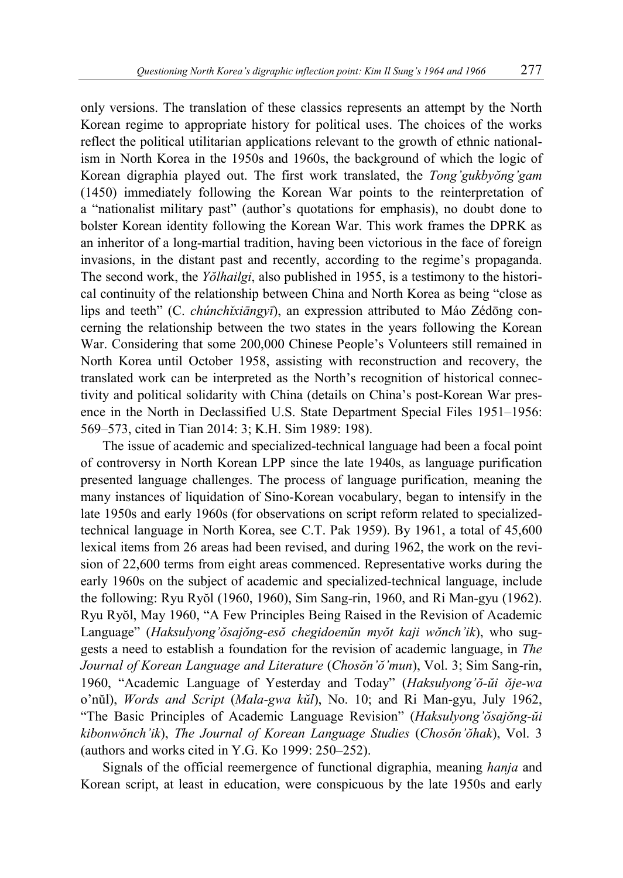only versions. The translation of these classics represents an attempt by the North Korean regime to appropriate history for political uses. The choices of the works reflect the political utilitarian applications relevant to the growth of ethnic nationalism in North Korea in the 1950s and 1960s, the background of which the logic of Korean digraphia played out. The first work translated, the *Tong'gukbyŏng'gam*  (1450) immediately following the Korean War points to the reinterpretation of a "nationalist military past" (author's quotations for emphasis), no doubt done to bolster Korean identity following the Korean War. This work frames the DPRK as an inheritor of a long-martial tradition, having been victorious in the face of foreign invasions, in the distant past and recently, according to the regime's propaganda. The second work, the *Yŏlhailgi*, also published in 1955, is a testimony to the historical continuity of the relationship between China and North Korea as being "close as lips and teeth" (C. *chúnchǐxiāngyī*), an expression attributed to Máo Zédōng concerning the relationship between the two states in the years following the Korean War. Considering that some 200,000 Chinese People's Volunteers still remained in North Korea until October 1958, assisting with reconstruction and recovery, the translated work can be interpreted as the North's recognition of historical connectivity and political solidarity with China (details on China's post-Korean War presence in the North in Declassified U.S. State Department Special Files 1951–1956: 569–573, cited in Tian 2014: 3; K.H. Sim 1989: 198).

The issue of academic and specialized-technical language had been a focal point of controversy in North Korean LPP since the late 1940s, as language purification presented language challenges. The process of language purification, meaning the many instances of liquidation of Sino-Korean vocabulary, began to intensify in the late 1950s and early 1960s (for observations on script reform related to specializedtechnical language in North Korea, see C.T. Pak 1959). By 1961, a total of 45,600 lexical items from 26 areas had been revised, and during 1962, the work on the revision of 22,600 terms from eight areas commenced. Representative works during the early 1960s on the subject of academic and specialized-technical language, include the following: Ryu Ryŏl (1960, 1960), Sim Sang-rin, 1960, and Ri Man-gyu (1962). Ryu Ryŏl, May 1960, "A Few Principles Being Raised in the Revision of Academic Language" (*Haksulyong'ŏsajŏng-esŏ chegidoenŭn myŏt kaji wŏnch'ik*), who suggests a need to establish a foundation for the revision of academic language, in *The Journal of Korean Language and Literature* (*Chosŏn'ŏ'mun*), Vol. 3; Sim Sang-rin, 1960, "Academic Language of Yesterday and Today" (*Haksulyong'ŏ-ŭi ŏje-wa*  o'nŭl), *Words and Script* (*Mala-gwa kŭl*), No. 10; and Ri Man-gyu, July 1962, "The Basic Principles of Academic Language Revision" (*Haksulyong'ŏsajŏng-ŭi kibonwŏnch'ik*), *The Journal of Korean Language Studies* (*Chosŏn'ŏhak*), Vol. 3 (authors and works cited in Y.G. Ko 1999: 250–252).

Signals of the official reemergence of functional digraphia, meaning *hanja* and Korean script, at least in education, were conspicuous by the late 1950s and early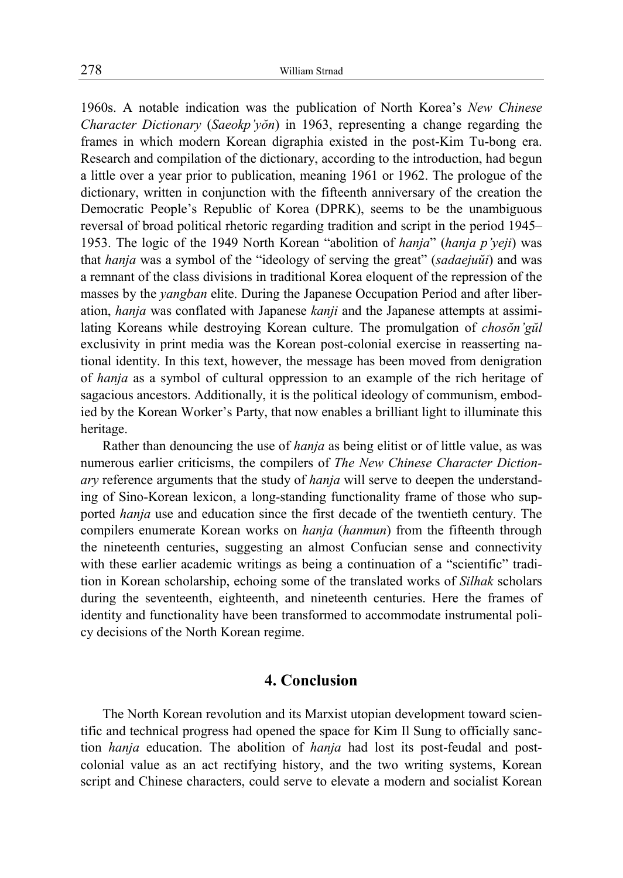1960s. A notable indication was the publication of North Korea's *New Chinese Character Dictionary* (*Saeokp'yŏn*) in 1963, representing a change regarding the frames in which modern Korean digraphia existed in the post-Kim Tu-bong era. Research and compilation of the dictionary, according to the introduction, had begun a little over a year prior to publication, meaning 1961 or 1962. The prologue of the dictionary, written in conjunction with the fifteenth anniversary of the creation the Democratic People's Republic of Korea (DPRK), seems to be the unambiguous reversal of broad political rhetoric regarding tradition and script in the period 1945– 1953. The logic of the 1949 North Korean "abolition of *hanja*" (*hanja p'yeji*) was that *hanja* was a symbol of the "ideology of serving the great" (*sadaejuŭi*) and was a remnant of the class divisions in traditional Korea eloquent of the repression of the masses by the *yangban* elite. During the Japanese Occupation Period and after liberation, *hanja* was conflated with Japanese *kanji* and the Japanese attempts at assimilating Koreans while destroying Korean culture. The promulgation of *chosŏn'gŭl* exclusivity in print media was the Korean post-colonial exercise in reasserting national identity. In this text, however, the message has been moved from denigration of *hanja* as a symbol of cultural oppression to an example of the rich heritage of sagacious ancestors. Additionally, it is the political ideology of communism, embodied by the Korean Worker's Party, that now enables a brilliant light to illuminate this heritage.

Rather than denouncing the use of *hanja* as being elitist or of little value, as was numerous earlier criticisms, the compilers of *The New Chinese Character Dictionary* reference arguments that the study of *hanja* will serve to deepen the understanding of Sino-Korean lexicon, a long-standing functionality frame of those who supported *hanja* use and education since the first decade of the twentieth century. The compilers enumerate Korean works on *hanja* (*hanmun*) from the fifteenth through the nineteenth centuries, suggesting an almost Confucian sense and connectivity with these earlier academic writings as being a continuation of a "scientific" tradition in Korean scholarship, echoing some of the translated works of *Silhak* scholars during the seventeenth, eighteenth, and nineteenth centuries. Here the frames of identity and functionality have been transformed to accommodate instrumental policy decisions of the North Korean regime.

#### **4. Conclusion**

The North Korean revolution and its Marxist utopian development toward scientific and technical progress had opened the space for Kim Il Sung to officially sanction *hanja* education. The abolition of *hanja* had lost its post-feudal and postcolonial value as an act rectifying history, and the two writing systems, Korean script and Chinese characters, could serve to elevate a modern and socialist Korean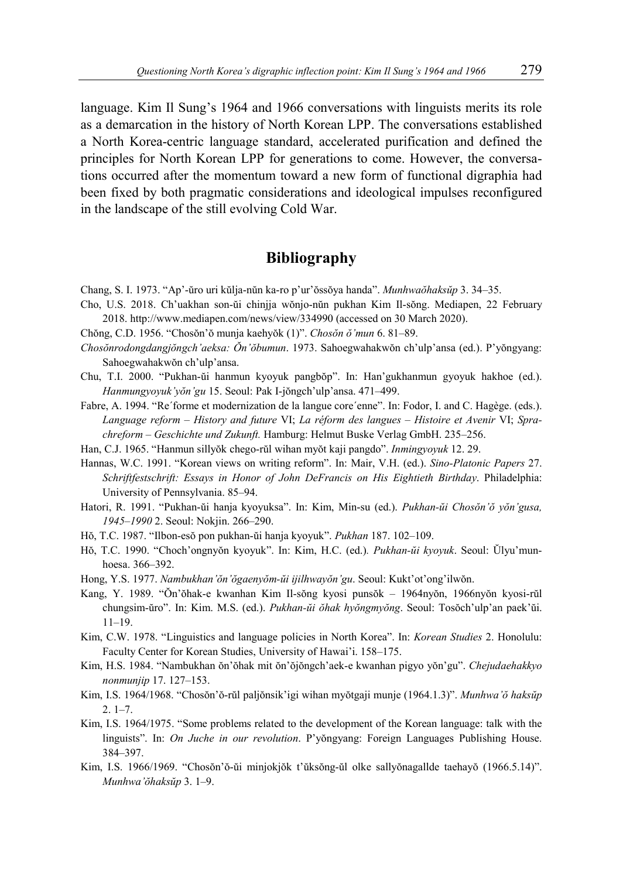language. Kim Il Sung's 1964 and 1966 conversations with linguists merits its role as a demarcation in the history of North Korean LPP. The conversations established a North Korea-centric language standard, accelerated purification and defined the principles for North Korean LPP for generations to come. However, the conversations occurred after the momentum toward a new form of functional digraphia had been fixed by both pragmatic considerations and ideological impulses reconfigured in the landscape of the still evolving Cold War.

### **Bibliography**

- Chang, S. I. 1973. "Ap'-ŭro uri kŭlja-nŭn ka-ro p'ur'ŏssŏya handa". *Munhwaŏhaksŭp* 3. 34–35.
- Cho, U.S. 2018. Ch'uakhan son-ŭi chinjja wŏnjo-nŭn pukhan Kim Il-sŏng. Mediapen, 22 February 2018. http://www.mediapen.com/news/view/334990 (accessed on 30 March 2020).
- Chŏng, C.D. 1956. "Chosŏn'ŏ munja kaehyŏk (1)". *Chosŏn ŏ'mun* 6. 81–89.
- *Chosŏnrodongdangjŏngch'aeksa: Ŏn'ŏbumun*. 1973. Sahoegwahakwŏn ch'ulp'ansa (ed.). P'yŏngyang: Sahoegwahakwŏn ch'ulp'ansa.
- Chu, T.I. 2000. "Pukhan-ŭi hanmun kyoyuk pangbŏp". In: Han'gukhanmun gyoyuk hakhoe (ed.). *Hanmungyoyuk'yŏn'gu* 15. Seoul: Pak I-jŏngch'ulp'ansa. 471–499.
- Fabre, A. 1994. "Re´forme et modernization de la langue core´enne". In: Fodor, I. and C. Hagège. (eds.). *Language reform – History and future* VI; *La réform des langues – Histoire et Avenir* VI; *Sprachreform – Geschichte und Zukunft.* Hamburg: Helmut Buske Verlag GmbH. 235–256.
- Han, C.J. 1965. "Hanmun sillyŏk chego-rŭl wihan myŏt kaji pangdo". *Inmingyoyuk* 12. 29.
- Hannas, W.C. 1991. "Korean views on writing reform". In: Mair, V.H. (ed.). *Sino-Platonic Papers* 27. *Schriftfestschrift: Essays in Honor of John DeFrancis on His Eightieth Birthday*. Philadelphia: University of Pennsylvania. 85–94.
- Hatori, R. 1991. "Pukhan-ŭi hanja kyoyuksa". In: Kim, Min-su (ed.). *Pukhan-ŭi Chosŏn'ŏ yŏn'gusa, 1945–1990* 2. Seoul: Nokjin. 266–290.
- Hŏ, T.C. 1987. "Ilbon-esŏ pon pukhan-ŭi hanja kyoyuk". *Pukhan* 187. 102–109.
- Hŏ, T.C. 1990. "Choch'ongnyŏn kyoyuk". In: Kim, H.C. (ed.)*. Pukhan-ŭi kyoyuk*. Seoul: Ŭlyu'munhoesa. 366–392.
- Hong, Y.S. 1977. *Nambukhan'ŏn'ŏgaenyŏm-ŭi ijilhwayŏn'gu*. Seoul: Kukt'ot'ong'ilwŏn.
- Kang, Y. 1989. "Ŏn'ŏhak-e kwanhan Kim Il-sŏng kyosi punsŏk 1964nyŏn, 1966nyŏn kyosi-rŭl chungsim-ŭro". In: Kim. M.S. (ed.). *Pukhan-ŭi ŏhak hyŏngmyŏng*. Seoul: Tosŏch'ulp'an paek'ŭi. 11–19.
- Kim, C.W. 1978. "Linguistics and language policies in North Korea". In: *Korean Studies* 2. Honolulu: Faculty Center for Korean Studies, University of Hawai'i. 158–175.
- Kim, H.S. 1984. "Nambukhan ŏn'ŏhak mit ŏn'ŏjŏngch'aek-e kwanhan pigyo yŏn'gu". *Chejudaehakkyo nonmunjip* 17. 127–153.
- Kim, I.S. 1964/1968. "Chosŏn'ŏ-rŭl paljŏnsik'igi wihan myŏtgaji munje (1964.1.3)". *Munhwa'ŏ haksŭp*  $2.1 - 7.$
- Kim, I.S. 1964/1975. "Some problems related to the development of the Korean language: talk with the linguists". In: *On Juche in our revolution*. P'yŏngyang: Foreign Languages Publishing House. 384–397.
- Kim, I.S. 1966/1969. "Chosŏn'ŏ-ŭi minjokjŏk t'ŭksŏng-ŭl olke sallyŏnagallde taehayŏ (1966.5.14)". *Munhwa'ŏhaksŭp* 3. 1–9.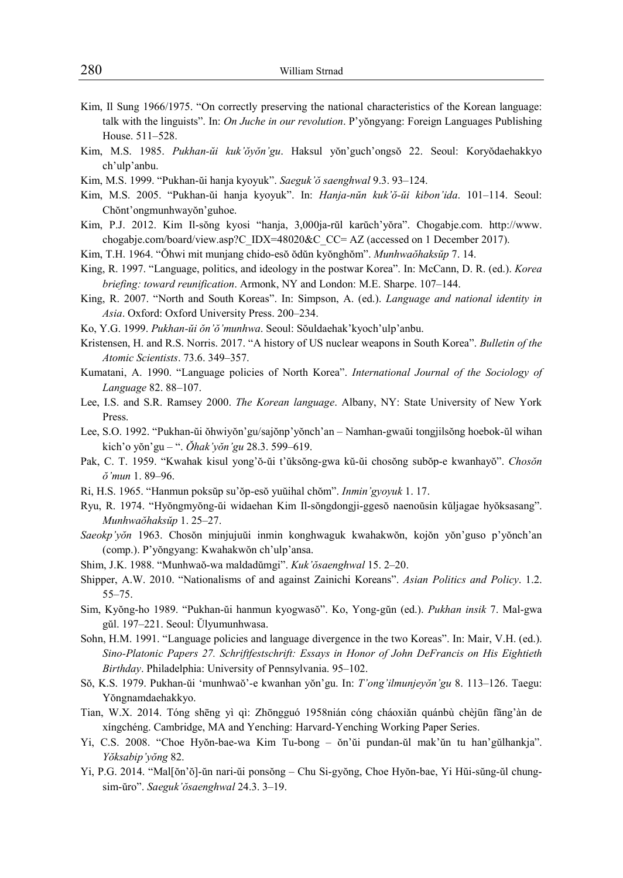- Kim, Il Sung 1966/1975. "On correctly preserving the national characteristics of the Korean language: talk with the linguists". In: *On Juche in our revolution*. P'yŏngyang: Foreign Languages Publishing House. 511–528.
- Kim, M.S. 1985. *Pukhan-ŭi kuk'ŏyŏn'gu*. Haksul yŏn'guch'ongsŏ 22. Seoul: Koryŏdaehakkyo ch'ulp'anbu.
- Kim, M.S. 1999. "Pukhan-ŭi hanja kyoyuk". *Saeguk'ŏ saenghwal* 9.3. 93–124.
- Kim, M.S. 2005. "Pukhan-ŭi hanja kyoyuk". In: *Hanja-nŭn kuk'ŏ-ŭi kibon'ida*. 101–114. Seoul: Chŏnt'ongmunhwayŏn'guhoe.
- Kim, P.J. 2012. Kim Il-sŏng kyosi "hanja, 3,000ja-rŭl karŭch'yŏra". Chogabje.com. http://www. chogabje.com/board/view.asp?C\_IDX=48020&C\_CC= AZ (accessed on 1 December 2017).
- Kim, T.H. 1964. "Ŏhwi mit munjang chido-esŏ ŏdŭn kyŏnghŏm". *Munhwaŏhaksŭp* 7. 14.
- King, R. 1997. "Language, politics, and ideology in the postwar Korea". In: McCann, D. R. (ed.). *Korea briefing: toward reunification*. Armonk, NY and London: M.E. Sharpe. 107–144.
- King, R. 2007. "North and South Koreas". In: Simpson, A. (ed.). *Language and national identity in Asia*. Oxford: Oxford University Press. 200–234.
- Ko, Y.G. 1999. *Pukhan-ŭi ŏn'ŏ'munhwa*. Seoul: Sŏuldaehak'kyoch'ulp'anbu.
- Kristensen, H. and R.S. Norris. 2017. "A history of US nuclear weapons in South Korea". *Bulletin of the Atomic Scientists*. 73.6. 349–357.
- Kumatani, A. 1990. "Language policies of North Korea". *International Journal of the Sociology of Language* 82. 88–107.
- Lee, I.S. and S.R. Ramsey 2000. *The Korean language*. Albany, NY: State University of New York Press.
- Lee, S.O. 1992. "Pukhan-ŭi ŏhwiyŏn'gu/sajŏnp'yŏnch'an Namhan-gwaŭi tongjilsŏng hoebok-ŭl wihan kich'o yŏn'gu – ". *Ŏhak'yŏn'gu* 28.3. 599–619.
- Pak, C. T. 1959. "Kwahak kisul yong'ŏ-ŭi t'ŭksŏng-gwa kŭ-ŭi chosŏng subŏp-e kwanhayŏ". *Chosŏn ŏ'mun* 1. 89–96.
- Ri, H.S. 1965. "Hanmun poksŭp su'ŏp-esŏ yuŭihal chŏm". *Inmin'gyoyuk* 1. 17.
- Ryu, R. 1974. "Hyŏngmyŏng-ŭi widaehan Kim Il-sŏngdongji-ggesŏ naenoŭsin kŭljagae hyŏksasang". *Munhwaŏhaksŭp* 1. 25–27.
- *Saeokp'yŏn* 1963. Chosŏn minjujuŭi inmin konghwaguk kwahakwŏn, kojŏn yŏn'guso p'yŏnch'an (comp.). P'yŏngyang: Kwahakwŏn ch'ulp'ansa.
- Shim, J.K. 1988. "Munhwaŏ-wa maldadŭmgi". *Kuk'ŏsaenghwal* 15. 2–20.
- Shipper, A.W. 2010. "Nationalisms of and against Zainichi Koreans". *Asian Politics and Policy*. 1.2. 55–75.
- Sim, Kyŏng-ho 1989. "Pukhan-ŭi hanmun kyogwasŏ". Ko, Yong-gŭn (ed.). *Pukhan insik* 7. Mal-gwa gŭl. 197–221. Seoul: Ŭlyumunhwasa.
- Sohn, H.M. 1991. "Language policies and language divergence in the two Koreas". In: Mair, V.H. (ed.). *Sino-Platonic Papers 27. Schriftfestschrift: Essays in Honor of John DeFrancis on His Eightieth Birthday*. Philadelphia: University of Pennsylvania. 95–102.
- Sŏ, K.S. 1979. Pukhan-ŭi 'munhwaŏ'-e kwanhan yŏn'gu. In: *T'ong'ilmunjeyŏn'gu* 8. 113–126. Taegu: Yŏngnamdaehakkyo.
- Tian, W.X. 2014. Tóng shēng yì qì: Zhōngguó 1958nián cóng cháoxiǎn quánbù chèjūn fāng'àn de xíngchéng. Cambridge, MA and Yenching: Harvard-Yenching Working Paper Series.
- Yi, C.S. 2008. "Choe Hyŏn-bae-wa Kim Tu-bong ŏn'ŭi pundan-ŭl mak'ŭn tu han'gŭlhankja". *Yŏksabip'yŏng* 82.
- Yi, P.G. 2014. "Mal[ŏn'ŏ]-ŭn nari-ŭi ponsŏng Chu Si-gyŏng, Choe Hyŏn-bae, Yi Hŭi-sŭng-ŭl chungsim-ŭro". *Saeguk'ŏsaenghwal* 24.3. 3–19.